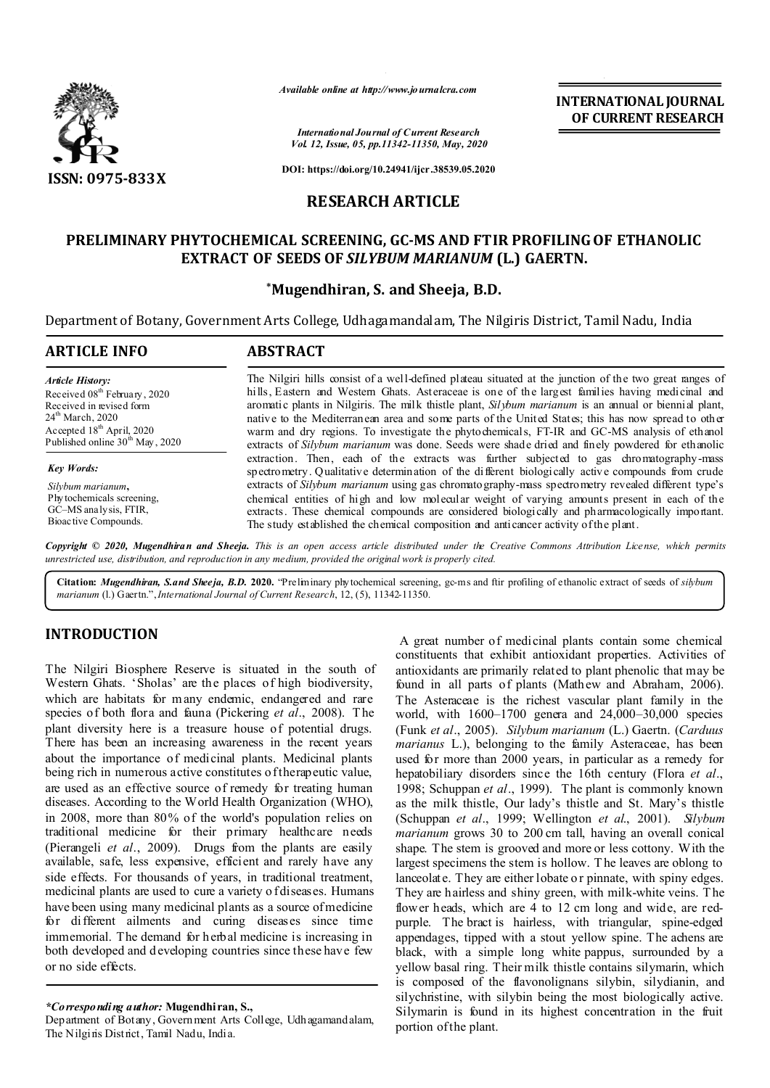

*Available online at http://www.journalcra.com*

*International Journal of Current Research Vol. 12, Issue, 05, pp.11342-11350, May, 2020* **INTERNATIONAL JOURNAL OF CURRENT RESEARCH**

**DOI: https://doi.org/10.24941/ijcr.38539.05.2020**

## **RESEARCH ARTICLE**

# **PRELIMINARY PHYTOCHEMICAL SCREENING, GC-MS AND FTIR PROFILING OF ETHANOLIC EXTRACT OF SEEDS OF** *SILYBUM MARIANUM* **(L.) GAERTN.**

## **\*Mugendhiran, S. and Sheeja, B.D.**

Department of Botany, Government Arts College, Udhagamandalam, The Nilgiris District, Tamil Nadu, India

| ARTICLE INFO                                | <b>ABSTRACT</b>                                                                                                                                                                              |  |  |  |
|---------------------------------------------|----------------------------------------------------------------------------------------------------------------------------------------------------------------------------------------------|--|--|--|
| Article History:                            | The Nilgiri hills consist of a well-defined plateau situated at the junction of the two great ranges of                                                                                      |  |  |  |
| Received 08 <sup>th</sup> February, 2020    | hills, Eastern and Western Ghats. Asteraceae is one of the largest families having medicinal and                                                                                             |  |  |  |
| Received in revised form                    | aromatic plants in Nilgiris. The milk thistle plant, Silybum marianum is an annual or biennial plant,                                                                                        |  |  |  |
| 24 <sup>th</sup> March, 2020                | native to the Mediterranean area and some parts of the United States; this has now spread to other                                                                                           |  |  |  |
| Accepted $18th$ April, 2020                 | warm and dry regions. To investigate the phytochemicals, FT-IR and GC-MS analysis of ethanol                                                                                                 |  |  |  |
| Published online 30 <sup>th</sup> May, 2020 | extracts of <i>Silybum marianum</i> was done. Seeds were shade dried and finely powdered for ethanolic                                                                                       |  |  |  |
| <b>Key Words:</b>                           | extraction. Then, each of the extracts was further subjected to gas chromatography-mass<br>spectrometry. Qualitative determination of the different biologically active compounds from crude |  |  |  |
| Silybum marianum,                           | extracts of Silybum marianum using gas chromato graphy-mass spectrometry revealed different type's                                                                                           |  |  |  |
| Phytochemicals screening,                   | chemical entities of high and low molecular weight of varying amounts present in each of the                                                                                                 |  |  |  |
| GC-MS analysis, FTIR,                       | extracts. These chemical compounds are considered biologically and pharmacologically important.                                                                                              |  |  |  |
| Bioac tive Compounds.                       | The study established the chemical composition and anticancer activity of the plant.                                                                                                         |  |  |  |

Copyright © 2020, Mugendhiran and Sheeja. This is an open access article distributed under the Creative Commons Attribution License, which permits *unrestricted use, distribution, and reproduction in any medium, provided the original work is properly cited.*

**Citation:** *Mugendhiran, S.and Sheeja, B.D.* **2020.** "Preliminary phytochemical screening, gc-ms and ftir profiling of ethanolic extract of seeds of *silybum marianum* (l.) Gaertn.",*International Journal of Current Research*, 12, (5), 11342-11350.

# **INTRODUCTION**

The Nilgiri Biosphere Reserve is situated in the south of Western Ghats. 'Sholas' are the places of high biodiversity, which are habitats for many endemic, endangered and rare species of both flora and fauna (Pickering et al., 2008). The plant diversity here is a treasure house of potential drugs. There has been an increasing awareness in the recent years about the importance of medicinal plants. Medicinal plants being rich in numerous active constitutes of therapeutic value, are used as an effective source of remedy for treating human diseases. According to the World Health Organization (WHO), in 2008, more than 80% of the world's population relies on traditional medicine for their primary healthcare needs (Pierangeli *et al.*, 2009). Drugs from the plants are easily available, safe, less expensive, efficient and rarely have any side effects. For thousands of years, in traditional treatment, medicinal plants are used to cure a variety o f diseases. Humans have been using many medicinal plants as a source of medicine for different ailments and curing diseases since time immemorial. The demand for herbal medicine is increasing in both developed and d eveloping countries since these have few or no side effects.

#### *\*Corresponding author:* **Mugendhiran, S.,**

Department of Botany, Government Arts College, Udhagamandalam, The Nilgiris District, Tamil Nadu, India.

A great number of medicinal plants contain some chemical constituents that exhibit antioxidant properties. Activities of antioxidants are primarily related to plant phenolic that may be found in all parts of plants (Mathew and Abraham, 2006). The Asteraceae is the richest vascular plant family in the world, with 1600–1700 genera and 24,000–30,000 species (Funk *et al*., 2005). *Silybum marianum* (L.) Gaertn. (*Carduus marianus* L.), belonging to the family Asteraceae, has been used for more than 2000 years, in particular as a remedy for hepatobiliary disorders since the 16th century (Flora *et al*., 1998; Schuppan *et al*., 1999). The plant is commonly known as the milk thistle, Our lady's thistle and St. Mary's thistle (Schuppan *et al*., 1999; Wellington *et al*., 2001). *Silybum marianum* grows 30 to 200 cm tall, having an overall conical shape. The stem is grooved and more or less cottony. With the largest specimens the stem is hollow. T he leaves are oblong to lanceolate. They are either lobate o r pinnate, with spiny edges. They are hairless and shiny green, with milk-white veins. T he flower heads, which are 4 to 12 cm long and wide, are redpurple. The bract is hairless, with triangular, spine-edged appendages, tipped with a stout yellow spine. The achens are black, with a simple long white pappus, surrounded by a yellow basal ring. Their milk thistle contains silymarin, which is composed of the flavonolignans silybin, silydianin, and silychristine, with silybin being the most biologically active. Silymarin is found in its highest concentration in the fruit portion of the plant.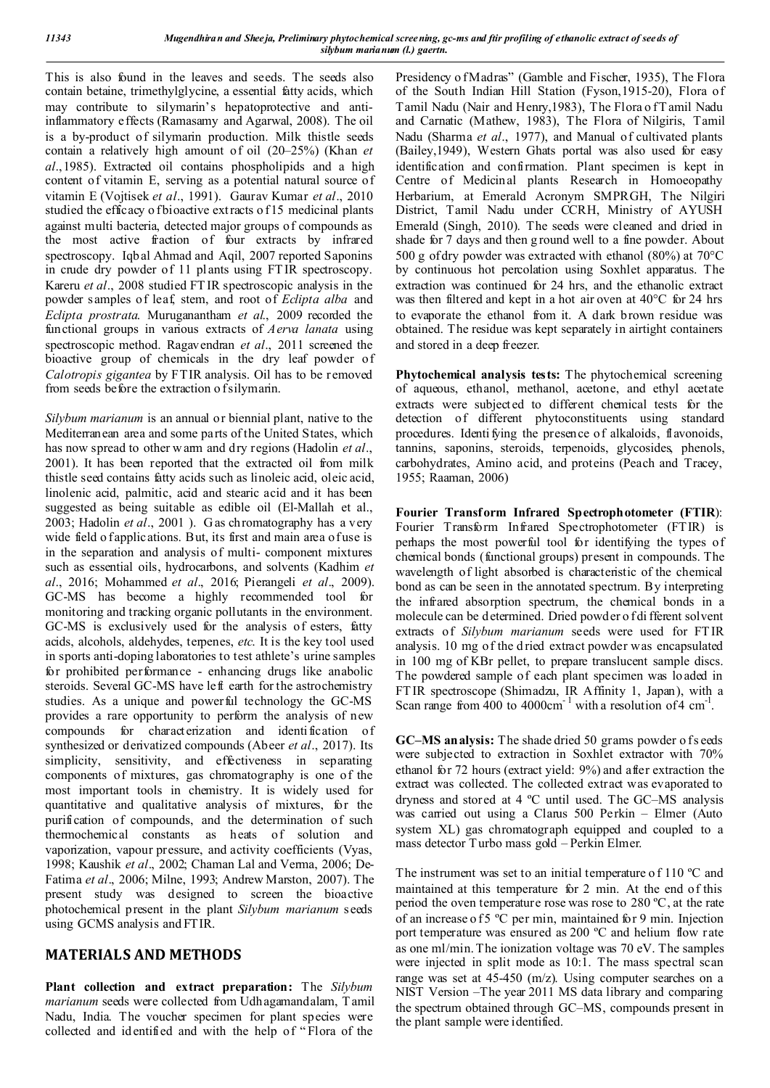This is also found in the leaves and seeds. The seeds also contain betaine, trimethylglycine, a essential fatty acids, which may contribute to silymarin's hepatoprotective and antiinflammatory effects (Ramasamy and Agarwal, 2008). The oil is a by-product of silymarin production. Milk thistle seeds contain a relatively high amount of oil (20–25%) (Khan *et al*.,1985). Extracted oil contains phospholipids and a high content of vitamin E, serving as a potential natural source of vitamin E (Vojtisek *et al*., 1991). Gaurav Kumar *et al*., 2010 studied the efficacy o f bioactive extracts of 15 medicinal plants against multi bacteria, detected major groups of compounds as the most active fraction of four extracts by infrared spectroscopy. Iqbal Ahmad and Aqil, 2007 reported Saponins in crude dry powder of 11 plants using FT IR spectroscopy. Kareru *et al*., 2008 studied FT IR spectroscopic analysis in the powder samples of leaf, stem, and root of *Eclipta alba* and *Eclipta prostrata*. Muruganantham *et al*., 2009 recorded the functional groups in various extracts of *Aerva lanata* using spectroscopic method. Ragavendran *et al*., 2011 screened the bioactive group of chemicals in the dry leaf powder of *Calotropis gigantea* by FTIR analysis. Oil has to be removed from seeds before the extraction o f silymarin.

*Silybum marianum* is an annual or biennial plant, native to the Mediterranean area and some parts of the United States, which has now spread to other w arm and dry regions (Hadolin *et al*., 2001). It has been reported that the extracted oil from milk thistle seed contains fatty acids such as linoleic acid, oleic acid, linolenic acid, palmitic, acid and stearic acid and it has been suggested as being suitable as edible oil (El-Mallah et al., 2003; Hadolin *et al*., 2001 ). G as chromatography has a very wide field o fapplications. But, its first and main area of use is in the separation and analysis of multi- component mixtures such as essential oils, hydrocarbons, and solvents (Kadhim *et al*., 2016; Mohammed *et al*., 2016; Pierangeli *et al*., 2009). GC-MS has become a highly recommended tool for monitoring and tracking organic pollutants in the environment. GC-MS is exclusively used for the analysis of esters, fatty acids, alcohols, aldehydes, terpenes, *etc*. It is the key tool used in sports anti-doping laboratories to test athlete's urine samples for prohibited performance - enhancing drugs like anabolic steroids. Several GC-MS have left earth for the astrochemistry studies. As a unique and powerful technology the GC-MS provides a rare opportunity to perform the analysis of new compounds for characterization and identification of synthesized or derivatized compounds (Abeer *et al*., 2017). Its simplicity, sensitivity, and effectiveness in separating components of mixtures, gas chromatography is one of the most important tools in chemistry. It is widely used for quantitative and qualitative analysis of mixtures, for the purification of compounds, and the determination of such thermochemical constants as heats of solution and vaporization, vapour pressure, and activity coefficients (Vyas, 1998; Kaushik *et al*., 2002; Chaman Lal and Verma, 2006; De-Fatima *et al*., 2006; Milne, 1993; Andrew Marston, 2007). The present study was designed to screen the bioactive photochemical present in the plant *Silybum marianum* seeds using GCMS analysis and FTIR.

# **MATERIALS AND METHODS**

**Plant collection and extract preparation:** The *Silybum marianum* seeds were collected from Udhagamandalam, T amil Nadu, India. The voucher specimen for plant species were collected and identified and with the help of " Flora of the

Presidency o f Madras" (Gamble and Fischer, 1935), The Flora of the South Indian Hill Station (Fyson,1915-20), Flora of Tamil Nadu (Nair and Henry, 1983), The Flora of Tamil Nadu and Carnatic (Mathew, 1983), The Flora of Nilgiris, Tamil Nadu (Sharma *et al*., 1977), and Manual of cultivated plants (Bailey,1949), Western Ghats portal was also used for easy identification and confirmation. Plant specimen is kept in Centre of Medicinal plants Research in Homoeopathy Herbarium, at Emerald Acronym SMPRGH, The Nilgiri District, Tamil Nadu under CCRH, Ministry of AYUSH Emerald (Singh, 2010). The seeds were cleaned and dried in shade for 7 days and then g round well to a fine powder. About 500 g of dry powder was extracted with ethanol (80%) at 70°C by continuous hot percolation using Soxhlet apparatus. The extraction was continued for 24 hrs, and the ethanolic extract was then filtered and kept in a hot air oven at 40°C for 24 hrs to evaporate the ethanol from it. A dark brown residue was obtained. The residue was kept separately in airtight containers and stored in a deep freezer.

**Phytochemical analysis tests:** The phytochemical screening of aqueous, ethanol, methanol, acetone, and ethyl acetate extracts were subjected to different chemical tests for the detection of different phytoconstituents using standard procedures. Identi fying the presence of alkaloids, flavonoids, tannins, saponins, steroids, terpenoids, glycosides, phenols, carbohydrates, Amino acid, and proteins (Peach and Tracey, 1955; Raaman, 2006)

**Fourier Transform Infrared Spectrophotometer (FTIR**): Fourier Transform Infrared Spectrophotometer (FTIR) is perhaps the most powerful tool for identifying the types of chemical bonds (functional groups) present in compounds. The wavelength of light absorbed is characteristic of the chemical bond as can be seen in the annotated spectrum. By interpreting the infrared absorption spectrum, the chemical bonds in a molecule can be determined. Dried powder o f di fferent solvent extracts of *Silybum marianum* seeds were used for FT IR analysis. 10 mg of the d ried extract powder was encapsulated in 100 mg of KBr pellet, to prepare translucent sample discs. The powdered sample of each plant specimen was loaded in FT IR spectroscope (Shimadzu, IR Affinity 1, Japan), with a Scan range from  $400$  to  $4000 \text{cm}^{-1}$  with a resolution of  $4 \text{ cm}^{-1}$ .

**GC–MS analysis:** The shade dried 50 grams powder of s eeds were subjected to extraction in Soxhlet extractor with 70% ethanol for 72 hours (extract yield: 9%) and after extraction the extract was collected. The collected extract was evaporated to dryness and stored at 4 ºC until used. The GC–MS analysis was carried out using a Clarus 500 Perkin – Elmer (Auto system XL) gas chromatograph equipped and coupled to a mass detector T urbo mass gold – Perkin Elmer.

The instrument was set to an initial temperature of 110 °C and maintained at this temperature for 2 min. At the end of this period the oven temperature rose was rose to 280 ºC, at the rate of an increase o f5 °C per min, maintained for 9 min. Injection port temperature was ensured as 200 ºC and helium flow rate as one ml/min. The ionization voltage was 70 eV. The samples were injected in split mode as 10:1. The mass spectral scan range was set at 45-450 (m/z). Using computer searches on a NIST Version –The year 2011 MS data library and comparing the spectrum obtained through GC–MS, compounds present in the plant sample were identified.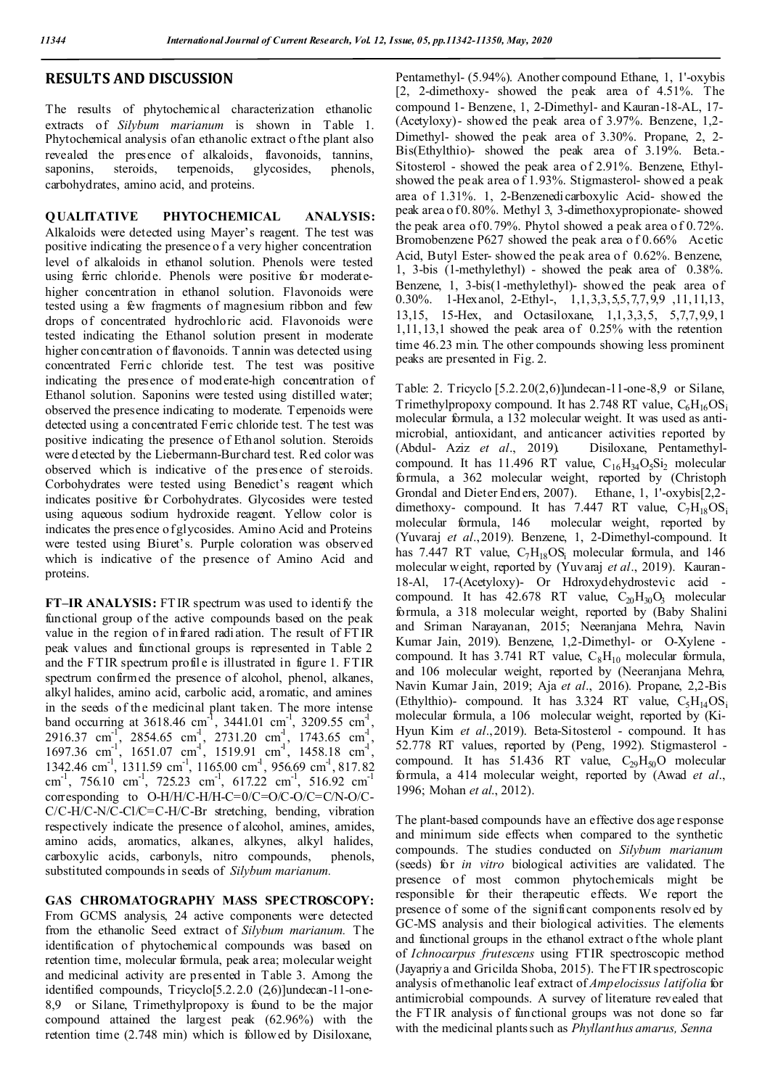## **RESULTS AND DISCUSSION**

The results of phytochemical characterization ethanolic extracts of *Silybum marianum* is shown in Table 1. Phytochemical analysis of an ethanolic extract of the plant also revealed the presence of alkaloids, flavonoids, tannins, saponins, steroids, terpenoids, glycosides, phenols, carbohydrates, amino acid, and proteins.

**QUALITATIVE PHYTOCHEMICAL ANALYSIS:**  Alkaloids were detected using Mayer's reagent. The test was positive indicating the presence o f a very higher concentration level of alkaloids in ethanol solution. Phenols were tested using ferric chloride. Phenols were positive for moderatehigher concentration in ethanol solution. Flavonoids were tested using a few fragments of magnesium ribbon and few drops of concentrated hydrochloric acid. Flavonoids were tested indicating the Ethanol solution present in moderate higher concentration of flavonoids. T annin was detected using concentrated Ferric chloride test. The test was positive indicating the presence of moderate-high concentration of Ethanol solution. Saponins were tested using distilled water; observed the presence indicating to moderate. Terpenoids were detected using a concentrated Ferric chloride test. T he test was positive indicating the presence of Ethanol solution. Steroids were d etected by the Liebermann-Burchard test. Red color was observed which is indicative of the presence of steroids. Corbohydrates were tested using Benedict's reagent which indicates positive for Corbohydrates. Glycosides were tested using aqueous sodium hydroxide reagent. Yellow color is indicates the presence of glycosides. Amino Acid and Proteins were tested using Biuret's. Purple coloration was observed which is indicative of the presence of Amino Acid and proteins.

**FT–IR ANALYSIS:** FT IR spectrum was used to identify the functional group of the active compounds based on the peak value in the region of infrared radiation. The result of FT IR peak values and functional groups is represented in Table 2 and the FTIR spectrum profil e is illustrated in figure 1. FTIR spectrum confirmed the presence of alcohol, phenol, alkanes, alkyl halides, amino acid, carbolic acid, aromatic, and amines in the seeds of the medicinal plant taken. The more intense band occurring at 3618.46 cm<sup>-1</sup>, 3441.01 cm<sup>-1</sup>, 3209.55 cm<sup>-1</sup>, 2916.37 cm<sup>-1</sup>, 2854.65 cm<sup>-1</sup>, 2731.20 cm<sup>-1</sup>, 1743.65 cm<sup>-1</sup>,  $1697.36$  cm<sup>-1</sup>,  $1651.07$  cm<sup>-1</sup>,  $1519.91$  cm<sup>-1</sup>,  $1458.18$  cm<sup>-1</sup>, 1342.46 cm<sup>-1</sup>, 1311.59 cm<sup>-1</sup>, 1165.00 cm<sup>-1</sup>, 956.69 cm<sup>-1</sup>, 817.82 cm<sup>-1</sup>, 756.10 cm<sup>-1</sup>, 725.23 cm<sup>-1</sup>, 617.22 cm<sup>-1</sup>, 516.92 cm<sup>-1</sup> corresponding to O-H/H/C-H/H-C=0/C=O/C-O/C=C/N-O/C-C/C-H/C-N/C-Cl/C=C-H/C-Br stretching, bending, vibration respectively indicate the presence of alcohol, amines, amides, amino acids, aromatics, alkanes, alkynes, alkyl halides, carboxylic acids, carbonyls, nitro compounds, phenols, substituted compounds in seeds of *Silybum marianum.*

**GAS CHROMATOGRAPHY MASS SPECTROSCOPY:** 

From GCMS analysis, 24 active components were detected from the ethanolic Seed extract of *Silybum marianum.* The identification of phytochemical compounds was based on retention time, molecular formula, peak area; molecular weight and medicinal activity are presented in Table 3. Among the identified compounds, Tricyclo[5.2.2.0 (2,6)]undecan-11-one-8,9 or Silane, Trimethylpropoxy is found to be the major compound attained the largest peak (62.96%) with the retention time (2.748 min) which is followed by Disiloxane,

Pentamethyl- (5.94%). Another compound Ethane, 1, 1'-oxybis [2, 2-dimethoxy- showed the peak area of 4.51%. The compound 1- Benzene, 1, 2-Dimethyl- and Kauran-18-AL, 17- (Acetyloxy)- showed the peak area of 3.97%. Benzene, 1,2- Dimethyl- showed the peak area of 3.30%. Propane, 2, 2- Bis(Ethylthio)- showed the peak area of 3.19%. Beta.- Sitosterol - showed the peak area of 2.91%. Benzene, Ethylshowed the peak area o f 1.93%. Stigmasterol- showed a peak area of 1.31%. 1, 2-Benzenedicarboxylic Acid- showed the peak area o f 0.80%. Methyl 3, 3-dimethoxypropionate- showed the peak area of  $0.79\%$ . Phytol showed a peak area of  $0.72\%$ . Bromobenzene P627 showed the peak area of 0.66% Acetic Acid, Butyl Ester- showed the peak area of 0.62%. Benzene, 1, 3-bis (1-methylethyl) - showed the peak area of 0.38%. Benzene, 1, 3-bis(1-methylethyl)- showed the peak area of 0.30%. 1-Hexanol, 2-Ethyl-, 1,1,3,3,5,5,7,7,9,9 ,11,11,13, 13,15, 15-Hex, and Octasiloxane, 1,1,3,3,5, 5,7,7,9,9,1 1,11,13,1 showed the peak area of 0.25% with the retention time 46.23 min. The other compounds showing less prominent peaks are presented in Fig. 2.

Table: 2. Tricyclo [5.2.2.0(2,6)]undecan-11-one-8,9 or Silane, Trimethylpropoxy compound. It has  $2.748$  RT value,  $C_6H_{16}OS_i$ molecular formula, a 132 molecular weight. It was used as antimicrobial, antioxidant, and anticancer activities reported by (Abdul- Aziz *et al*., 2019). Disiloxane, Pentamethylcompound. It has 11.496 RT value,  $C_{16}H_{34}O_5Si_2$  molecular formula, a 362 molecular weight, reported by (Christoph Grondal and Dieter End ers, 2007). Ethane, 1, 1'-oxybis[2,2 dimethoxy- compound. It has 7.447 RT value,  $C_7H_{18}^{8}OS_1$ molecular formula, 146 molecular weight, reported by (Yuvaraj *et al*.,2019). Benzene, 1, 2-Dimethyl-compound. It has 7.447 RT value, C<sub>7</sub>H<sub>18</sub>OS<sub>i</sub> molecular formula, and 146 molecular weight, reported by (Yuvaraj *et al*., 2019). Kauran-18-Al, 17-(Acetyloxy)- Or Hdroxydehydrostevic acid compound. It has  $42.678$  RT value,  $C_{20}H_{30}O_3$  molecular formula, a 318 molecular weight, reported by (Baby Shalini and Sriman Narayanan, 2015; Neeranjana Mehra, Navin Kumar Jain, 2019). Benzene, 1,2-Dimethyl- or O-Xylene compound. It has 3.741 RT value,  $C_8H_{10}$  molecular formula, and 106 molecular weight, reported by (Neeranjana Mehra, Navin Kumar Jain, 2019; Aja *et al*., 2016). Propane, 2,2-Bis (Ethylthio)- compound. It has  $3.324$  RT value,  $C_5H_{14}OS_i$ molecular formula, a 106 molecular weight, reported by (Ki-Hyun Kim *et al*.,2019). Beta-Sitosterol - compound. It has 52.778 RT values, reported by (Peng, 1992). Stigmasterol compound. It has  $51.436$  RT value,  $C_{29}H_{50}O$  molecular formula, a 414 molecular weight, reported by (Awad *et al*., 1996; Mohan *et al*., 2012).

The plant-based compounds have an effective dos age response and minimum side effects when compared to the synthetic compounds. The studies conducted on *Silybum marianum*  (seeds) for *in vitro* biological activities are validated. The presence of most common phytochemicals might be responsible for their therapeutic effects. We report the presence of some of the significant components resolv ed by GC-MS analysis and their biological activities. The elements and functional groups in the ethanol extract of the whole plant of *Ichnocarpus frutescens* using FTIR spectroscopic method (Jayapriya and Gricilda Shoba, 2015). The FT IR spectroscopic analysis of methanolic leaf extract of *Ampelocissus latifolia* for antimicrobial compounds. A survey of literature revealed that the FT IR analysis of functional groups was not done so far with the medicinal plants such as *Phyllanthus amarus, Senna*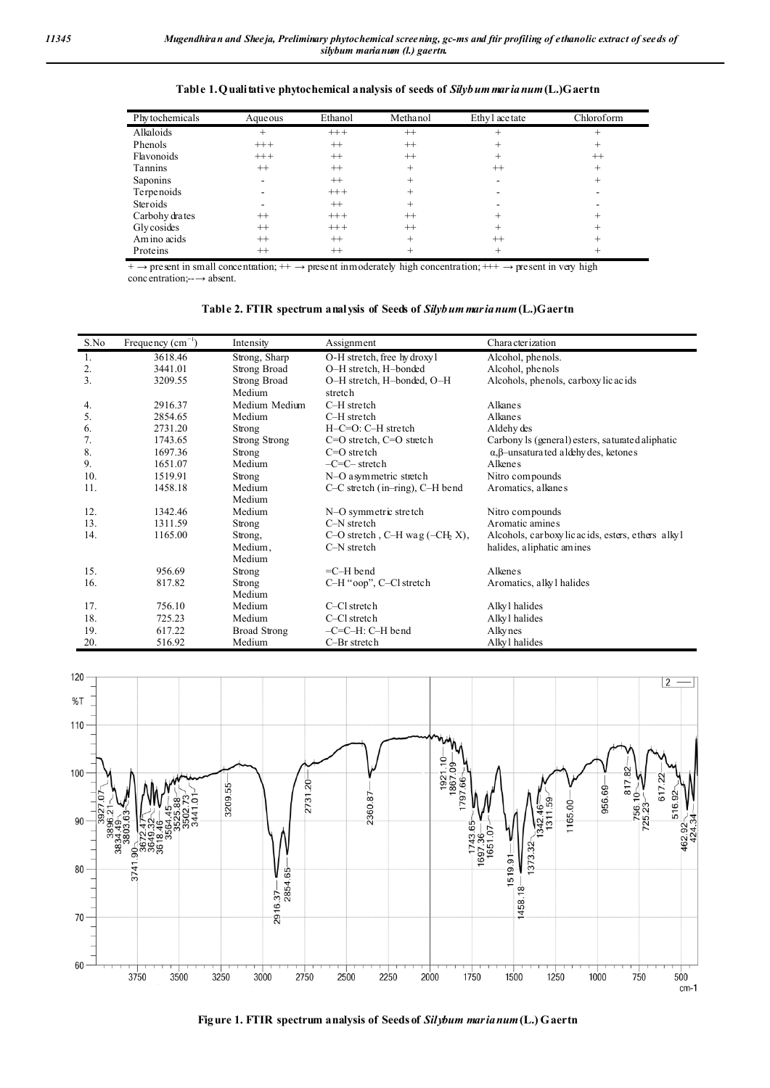| Phy tochemicals | Aqueous | Ethanol | Methanol        | Ethy l ace tate | Chloroform |
|-----------------|---------|---------|-----------------|-----------------|------------|
| Alkaloids       |         | $+++$   | $^{++}$         |                 |            |
| Phenols         | $+++$   | $^{++}$ | $^{++}$         |                 |            |
| Flavonoids      | $+++$   | $^{++}$ | $++$            |                 | $^{++}$    |
| <b>Tannins</b>  | $^{++}$ | $++$    | $^{+}$          | $^{++}$         | $^+$       |
| Saponins        |         | $^{++}$ | $^{\mathrm{+}}$ |                 |            |
| Terpenoids      |         | $+++$   |                 |                 |            |
| Steroids        |         | $^{++}$ | $^+$            |                 |            |
| Carbohy drates  | $^{++}$ | $+++$   | $^{++}$         |                 |            |
| Glycosides      | $^{++}$ | $+++$   | $++$            |                 |            |
| Am ino acids    | $^{++}$ | $^{++}$ | $^{+}$          | $++$            |            |
| Proteins        | $^{++}$ | $++$    |                 |                 |            |

**Table 1.Qualitative phytochemical analysis of seeds of** *Silybum marianum***(L.)Gaertn**

 $+ \rightarrow$  present in small concentration;  $+ \rightarrow$  present in moderately high concentration;  $+ + \rightarrow$  present in very high concentration;--→ absent.

| Table 2. FTIR spectrum analysis of Seeds of Silybum marianum (L.) Gaertn |  |  |  |
|--------------------------------------------------------------------------|--|--|--|
|                                                                          |  |  |  |

| S.No | Frequency $(cm-1)$ | Intensity           | Assignment                          | Characterization                                      |
|------|--------------------|---------------------|-------------------------------------|-------------------------------------------------------|
| 1.   | 3618.46            | Strong, Sharp       | O-H stretch, free hy droxy l        | Alcohol, phenols.                                     |
| 2.   | 3441.01            | Strong Broad        | O-H stretch, H-bonded               | Alcohol, phenols                                      |
| 3.   | 3209.55            | Strong Broad        | O-H stretch, H-bonded, O-H          | Alcohols, phenols, carboxy licacids                   |
|      |                    | Medium              | stretch                             |                                                       |
| 4.   | 2916.37            | Medium Medium       | C-H stretch                         | Alkane s                                              |
| 5.   | 2854.65            | Medium              | C-H stretch                         | Alkane <sub>s</sub>                                   |
| 6.   | 2731.20            | Strong              | $H-C=O$ : $C-H$ stretch             | Aldehy des                                            |
| 7.   | 1743.65            | Strong Strong       | $C=O$ stretch, $C=O$ stretch        | Carbony ls (general) esters, saturated aliphatic      |
| 8.   | 1697.36            | Strong              | $C=O$ stretch                       | $\alpha$ , $\beta$ -unsatura ted a ldehy des, ketones |
| 9.   | 1651.07            | Medium              | $-C=C-$ stretch                     | Alkene <sub>s</sub>                                   |
| 10.  | 1519.91            | Strong              | N-O asymmetric stretch              | Nitro compounds                                       |
| 11.  | 1458.18            | Medium              | $C-C$ stretch (in-ring), $C-H$ bend | Aromatics, alkanes                                    |
|      |                    | Medium              |                                     |                                                       |
| 12.  | 1342.46            | Medium              | N-O symmetric stretch               | Nitro compounds                                       |
| 13.  | 1311.59            | Strong              | $C-N$ stretch                       | Aromatic amines                                       |
| 14.  | 1165.00            | Strong,             | C-O stretch, C-H wag $(-CH_2 X)$ ,  | Alcohols, carboxylicacids, esters, ethers alkyl       |
|      |                    | Medium,             | C-N stretch                         | halides, a liphatic amines                            |
|      |                    | Medium              |                                     |                                                       |
| 15.  | 956.69             | Strong              | $=$ C $-H$ bend                     | Alkene <sub>s</sub>                                   |
| 16.  | 817.82             | Strong              | C-H "oop", C-Cl stretch             | Aromatics, alkyl halides                              |
|      |                    | Medium              |                                     |                                                       |
| 17.  | 756.10             | Medium              | C-Cl stretch                        | Alky l halides                                        |
| 18.  | 725.23             | Medium              | C-Cl stretch                        | Alky l halides                                        |
| 19.  | 617.22             | <b>Broad Strong</b> | $-C=C-H: C-H$ bend                  | Alky nes                                              |
| 20.  | 516.92             | Medium              | C-Br stretch                        | Alky l halides                                        |



**Figure 1. FTIR spectrum analysis of Seeds of** *Silybum marianum***(L.) Gaertn**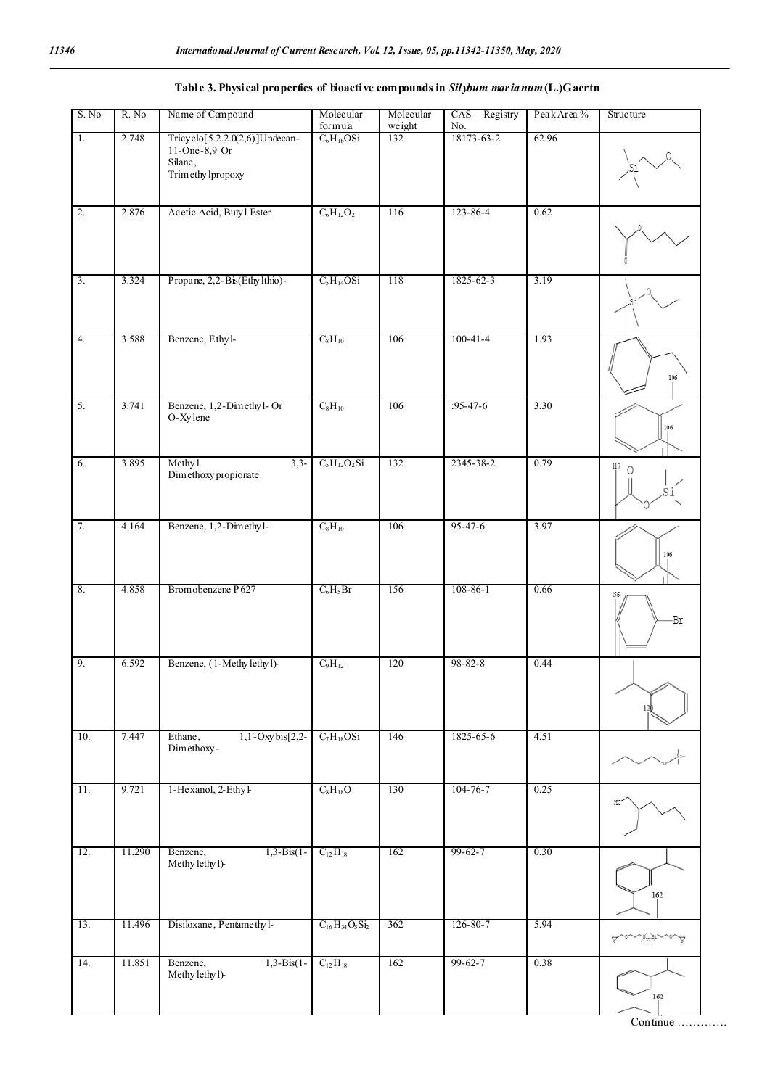## **Table 3. Physical properties of bioactive compounds in** *Silybum marianum***(L.)Gaertn**

| S. No            | R. No  | Name of Compound                                                                       | Molecular<br>formula               | Molecular<br>weight | Registry<br>CAS<br>No. | Peak Area % | <b>Structure</b> |
|------------------|--------|----------------------------------------------------------------------------------------|------------------------------------|---------------------|------------------------|-------------|------------------|
| $\overline{1}$ . | 2.748  | Tricyclo[5.2.2.0(2,6)]Undecan-<br>$11$ -One- $8,9$ Or<br>Silane,<br>Trim ethy lpropoxy | $C_6H_{16}OSi$                     | 132                 | 18173-63-2             | 62.96       |                  |
| $\overline{2}$ . | 2.876  | Acetic Acid, Butyl Ester                                                               | $C_6H_{12}O_2$                     | 116                 | $123 - 86 - 4$         | 0.62        |                  |
| $\overline{3}$ . | 3.324  | Propane, 2,2-Bis(Ethylthio)-                                                           | $C_5H_{14}OSi$                     | 118                 | 1825-62-3              | 3.19        |                  |
| 4.               | 3.588  | Benzene, Ethyl-                                                                        | $C_8H_{10}$                        | 106                 | $100 - 41 - 4$         | 1.93        | 106              |
| $\overline{5}$ . | 3.741  | Benzene, 1,2-Dimethyl-Or<br>O-Xylene                                                   | $C_8H_{10}$                        | 106                 | $:95-47-6$             | 3.30        | 106              |
| 6.               | 3.895  | Methyl<br>$3,3-$<br>Dimethoxy propionate                                               | $C_5H_{12}O_2Si$                   | 132                 | 2345-38-2              | 0.79        | 117<br>0         |
| 7.               | 4.164  | Benzene, 1,2-Dimethyl-                                                                 | $C_8H_{10}$                        | 106                 | $95 - 47 - 6$          | 3.97        | 106              |
| 8.               | 4.858  | Bromobenzene P627                                                                      | $C_6H_5Br$                         | 156                 | $108 - 86 - 1$         | 0.66        | 156<br>.Br       |
| 9.               | 6.592  | Benzene, (1-Methylethyl)-                                                              | $C_9H_{12}$                        | 120                 | 98-82-8                | 0.44        | 12               |
| 10.              | 7.447  | 1,1'-Oxybis[2,2-<br>Ethane,<br>Dimethoxy-                                              | $C_7H_{18}OSi$                     | 146                 | 1825-65-6              | 4.51        |                  |
| 11.              | 9.721  | 1-Hexanol, 2-Ethyl-                                                                    | $C_8H_{18}O$                       | 130                 | $104 - 76 - 7$         | 0.25        | HO <sup>-</sup>  |
| 12.              | 11.290 | $1,3-Bis(1-$<br>Benzene,<br>Methy lethy l)-                                            | $C_{12}H_{18}$                     | 162                 | $99 - 62 - 7$          | 0.30        | 162              |
| 13.              | 11.496 | Disiloxane, Pentamethyl-                                                               | $C_{16}H_{34}O_5Si_2$              | 362                 | 126-80-7               | 5.94        |                  |
| 14.              | 11.851 | $1,3-Bis(1-$<br>Benzene,<br>Methy lethy l)-                                            | $\mathrm{C}_{12}\,\mathrm{H}_{18}$ | 162                 | $99 - 62 - 7$          | 0.38        | 162              |

Continue ………….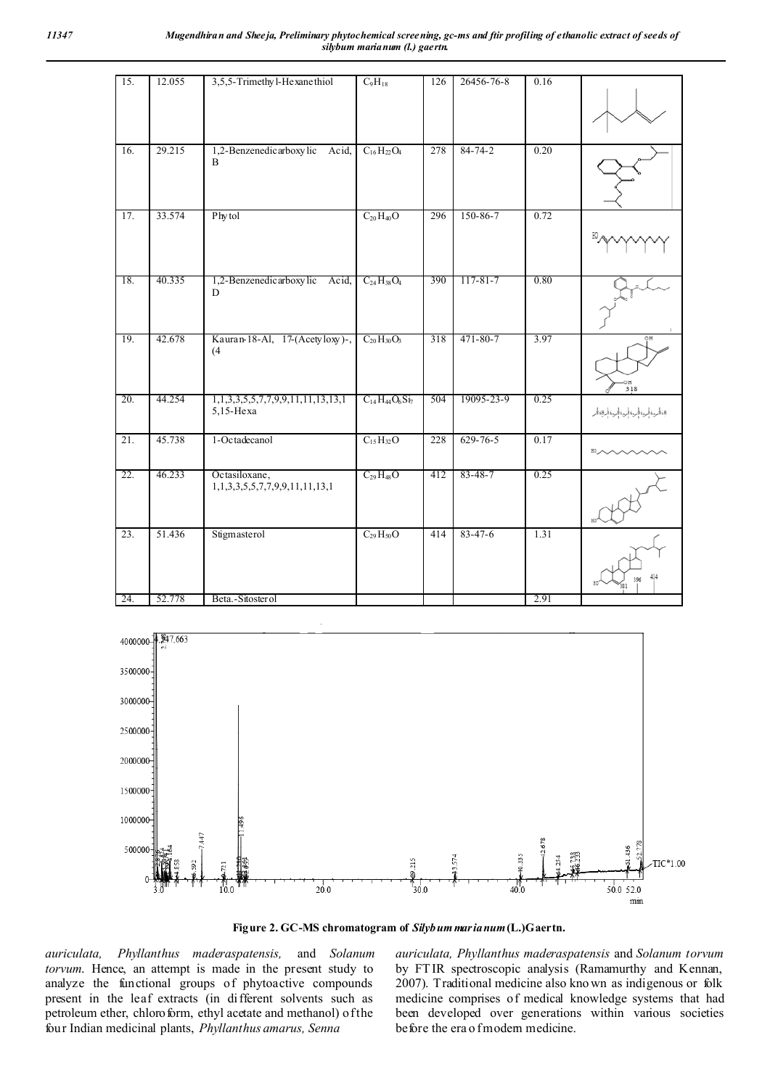| 15.               | 12.055 | 3,5,5-Trimethy l-He xane thiol                  | $C_9H_{18}$           | 126 | 26456-76-8     | 0.16 |                            |
|-------------------|--------|-------------------------------------------------|-----------------------|-----|----------------|------|----------------------------|
| 16.               | 29.215 | 1,2-Benzenedicarboxylic Acid,<br>$\overline{B}$ | $C_{16}H_{22}O_4$     | 278 | $84 - 74 - 2$  | 0.20 |                            |
| 17.               | 33.574 | Phytol                                          | $C_{20}H_{40}O$       | 296 | 150-86-7       | 0.72 |                            |
| 18.               | 40.335 | 1,2-Benzenedicarboxylic Acid,<br>D              | $C_{24}H_{38}O_4$     | 390 | $117 - 81 - 7$ | 0.80 |                            |
| 19.               | 42.678 | Kauran-18-Al, 17-(Acetyloxy)-,<br>(4)           | $C_{20}H_{30}O_3$     | 318 | 471-80-7       | 3.97 | OН<br>318                  |
| 20.               | 44.254 | 1,1,3,3,5,5,7,7,9,9,11,11,13,13,1<br>5,15-Hexa  | $C_{14}H_{44}O_6Si_7$ | 504 | 19095-23-9     | 0.25 | BaBرةڤرىغڤرىغڤرىغڤرىغڤرBaB |
| 21.               | 45.738 | 1-Octadecanol                                   | $C_{15}H_{32}O$       | 228 | $629 - 76 - 5$ | 0.17 |                            |
| 22.               | 46.233 | Octasiloxane,<br>1,1,3,3,5,5,7,7,9,9,11,11,13,1 | $C_{29}H_{48}O$       | 412 | $83 - 48 - 7$  | 0.25 |                            |
| $\overline{23}$ . | 51.436 | Stigmasterol                                    | $C_{29}H_{50}O$       | 414 | $83 - 47 - 6$  | 1.31 |                            |
| 24.               | 52.778 | Beta.-Sitosterol                                |                       |     |                | 2.91 |                            |



**Figure 2. GC-MS chromatogram of** *Silybum marianum***(L.)Gaertn.**

*auriculata, Phyllanthus maderaspatensis,* and *Solanum torvum*. Hence, an attempt is made in the present study to analyze the functional groups of phytoactive compounds present in the leaf extracts (in different solvents such as petroleum ether, chloroform, ethyl acetate and methanol) of the four Indian medicinal plants, *Phyllanthus amarus, Senna*

*auriculata, Phyllanthus maderaspatensis* and *Solanum torvum* by FT IR spectroscopic analysis (Ramamurthy and Kennan, 2007). Traditional medicine also kno wn as indigenous or folk medicine comprises of medical knowledge systems that had been developed over generations within various societies before the era o fmodern medicine.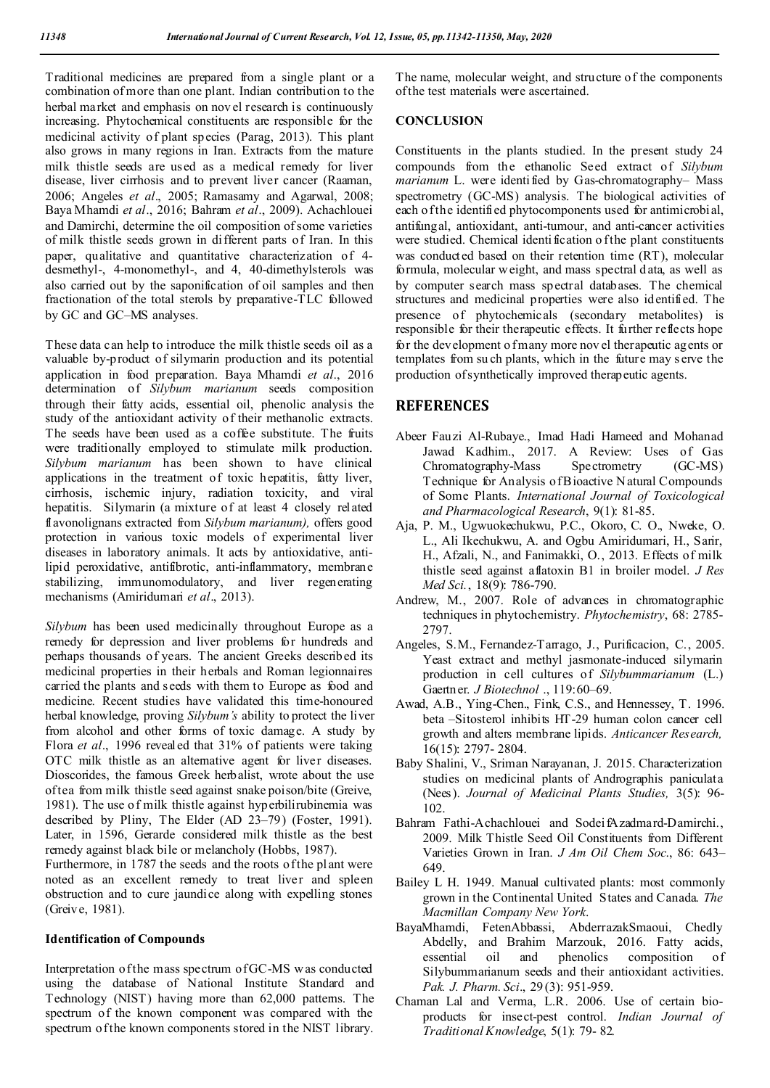Traditional medicines are prepared from a single plant or a combination of more than one plant. Indian contribution to the herbal market and emphasis on nov el research is continuously increasing. Phytochemical constituents are responsible for the medicinal activity of plant species (Parag, 2013). This plant also grows in many regions in Iran. Extracts from the mature milk thistle seeds are used as a medical remedy for liver disease, liver cirrhosis and to prevent liver cancer (Raaman, 2006; Angeles *et al*., 2005; Ramasamy and Agarwal, 2008; Baya Mhamdi *et al*., 2016; Bahram *et al*., 2009). Achachlouei and Damirchi, determine the oil composition of some varieties of milk thistle seeds grown in different parts of Iran. In this paper, qualitative and quantitative characterization of 4 desmethyl-, 4-monomethyl-, and 4, 40-dimethylsterols was also carried out by the saponification of oil samples and then fractionation of the total sterols by preparative-TLC followed by GC and GC–MS analyses.

These data can help to introduce the milk thistle seeds oil as a valuable by-product of silymarin production and its potential application in food preparation. Baya Mhamdi *et al*., 2016 determination of *Silybum marianum* seeds composition through their fatty acids, essential oil, phenolic analysis the study of the antioxidant activity of their methanolic extracts. The seeds have been used as a coffee substitute. The fruits were traditionally employed to stimulate milk production. *Silybum marianum* has been shown to have clinical applications in the treatment of toxic hepatitis, fatty liver, cirrhosis, ischemic injury, radiation toxicity, and viral hepatitis. Silymarin (a mixture of at least 4 closely related flavonolignans extracted from *Silybum marianum),* offers good protection in various toxic models of experimental liver diseases in laboratory animals. It acts by antioxidative, antilipid peroxidative, antifibrotic, anti-inflammatory, membrane stabilizing, immunomodulatory, and liver regenerating mechanisms (Amiridumari *et al*., 2013).

*Silybum* has been used medicinally throughout Europe as a remedy for depression and liver problems for hundreds and perhaps thousands of years. The ancient Greeks described its medicinal properties in their herbals and Roman legionnaires carried the plants and seeds with them to Europe as food and medicine. Recent studies have validated this time-honoured herbal knowledge, proving *Silybum's* ability to protect the liver from alcohol and other forms of toxic damage. A study by Flora *et al*., 1996 revealed that 31% of patients were taking OTC milk thistle as an alternative agent for liver diseases. Dioscorides, the famous Greek herbalist, wrote about the use of tea from milk thistle seed against snake poison/bite (Greive, 1981). The use of milk thistle against hyperbilirubinemia was described by Pliny, The Elder (AD 23–79) (Foster, 1991). Later, in 1596, Gerarde considered milk thistle as the best remedy against black bile or melancholy (Hobbs, 1987).

Furthermore, in 1787 the seeds and the roots of the plant were noted as an excellent remedy to treat liver and spleen obstruction and to cure jaundice along with expelling stones (Greive, 1981).

#### **Identification of Compounds**

Interpretation of the mass spectrum of GC-MS w as conducted using the database of National Institute Standard and Technology (NIST) having more than 62,000 patterns. The spectrum of the known component was compared with the spectrum of the known components stored in the NIST library.

The name, molecular weight, and structure of the components of the test materials were ascertained.

### **CONCLUSION**

Constituents in the plants studied. In the present study 24 compounds from the ethanolic Seed extract of *Silybum marianum* L. were identified by Gas-chromatography– Mass spectrometry (GC-MS) analysis. The biological activities of each of the identified phytocomponents used for antimicrobial, antifungal, antioxidant, anti-tumour, and anti-cancer activities were studied. Chemical identification of the plant constituents was conducted based on their retention time (RT), molecular formula, molecular w eight, and mass spectral d ata, as well as by computer search mass spectral databases. The chemical structures and medicinal properties were also identified. The presence of phytochemicals (secondary metabolites) is responsible for their therapeutic effects. It further reflects hope for the development o fmany more novel therapeutic agents or templates from su ch plants, which in the future may s erve the production of synthetically improved therapeutic agents.

## **REFERENCES**

- Abeer Fauzi Al-Rubaye., Imad Hadi Hameed and Mohanad Jawad Kadhim., 2017. A Review: Uses of Gas<br>Chromatography-Mass Spectrometry (GC-MS) Chromatography-Mass Spectrometry (GC-MS) Technique for Analysis of Bioactive N atural Compounds of Some Plants. *International Journal of Toxicological and Pharmacological Research*, 9(1): 81-85.
- Aja, P. M., Ugwuokechukwu, P.C., Okoro, C. O., Nweke, O. L., Ali Ikechukwu, A. and Ogbu Amiridumari, H., Sarir, H., Afzali, N., and Fanimakki, O., 2013. Effects of milk thistle seed against aflatoxin B1 in broiler model. *J Res Med Sci.*, 18(9): 786-790.
- Andrew, M., 2007. Role of advances in chromatographic techniques in phytochemistry. *Phytochemistry*, 68: 2785- 2797.
- Angeles, S.M., Fernandez-Tarrago, J., Purificacion, C., 2005. Yeast extract and methyl jasmonate-induced silymarin production in cell cultures of *Silybummarianum* (L.) Gaertner. *J Biotechnol* ., 119:60–69.
- Awad, A.B., Ying-Chen., Fink, C.S., and Hennessey, T. 1996. beta –Sitosterol inhibits HT-29 human colon cancer cell growth and alters membrane lipids. *Anticancer Research,*  16(15): 2797- 2804.
- Baby Shalini, V., Sriman Narayanan, J. 2015. Characterization studies on medicinal plants of Andrographis paniculata (Nees). *Journal of Medicinal Plants Studies,* 3(5): 96- 102.
- Bahram Fathi-Achachlouei and SodeifAzadmard-Damirchi., 2009. Milk Thistle Seed Oil Constituents from Different Varieties Grown in Iran. *J Am Oil Chem Soc*., 86: 643– 649.
- Bailey L H. 1949. Manual cultivated plants: most commonly grown in the Continental United States and Canada. *The Macmillan Company New York*.
- BayaMhamdi, FetenAbbassi, AbderrazakSmaoui, Chedly Abdelly, and Brahim Marzouk, 2016. Fatty acids, essential oil and phenolics composition of Silybummarianum seeds and their antioxidant activities. *Pak. J. Pharm. Sci*., 29 (3): 951-959.
- Chaman Lal and Verma, L.R. 2006. Use of certain bioproducts for insect-pest control. *Indian Journal of Traditional Knowledge*, 5(1): 79- 82.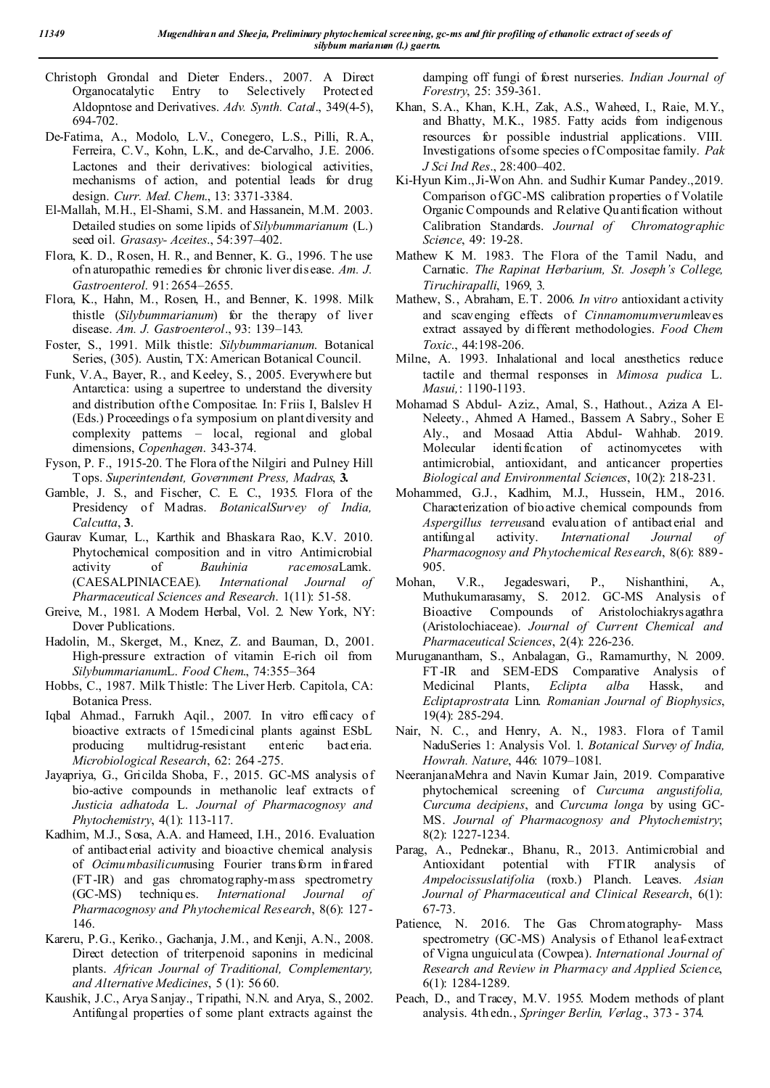- Christoph Grondal and Dieter Enders., 2007. A Direct Organocatalytic Entry to Selectively Protected Aldopntose and Derivatives. *Adv. Synth. Catal*., 349(4-5), 694-702.
- De-Fatima, A., Modolo, L.V., Conegero, L.S., Pilli, R.A., Ferreira, C.V., Kohn, L.K., and de-Carvalho, J.E. 2006. Lactones and their derivatives: biological activities, mechanisms of action, and potential leads for drug design. *Curr. Med. Chem*., 13: 3371-3384.
- El-Mallah, M.H., El-Shami, S.M. and Hassanein, M.M. 2003. Detailed studies on some lipids of *Silybummarianum* (L.) seed oil. *Grasasy- Aceites*., 54:397–402.
- Flora, K. D., Rosen, H. R., and Benner, K. G., 1996. T he use of n aturopathic remedies for chronic liver disease. *Am. J. Gastroenterol*. 91: 2654–2655.
- Flora, K., Hahn, M., Rosen, H., and Benner, K. 1998. Milk thistle (*Silybummarianum*) for the therapy of liver disease. *Am. J. Gastroenterol*., 93: 139–143.
- Foster, S., 1991. Milk thistle: *Silybummarianum*. Botanical Series, (305). Austin, TX: American Botanical Council.
- Funk, V.A., Bayer, R., and Keeley, S., 2005. Everywhere but Antarctica: using a supertree to understand the diversity and distribution of the Compositae. In: Friis I, Balslev H (Eds.) Proceedings o fa symposium on plant diversity and complexity patterns – local, regional and global dimensions, *Copenhagen*. 343-374.
- Fyson, P. F., 1915-20. The Flora of the Nilgiri and Pulney Hill Tops. *Superintendent, Government Press, Madras*, **3.**
- Gamble, J. S., and Fischer, C. E. C., 1935. Flora of the Presidency of Madras. *BotanicalSurvey of India, Calcutta*, **3**.
- Gaurav Kumar, L., Karthik and Bhaskara Rao, K.V. 2010. Phytochemical composition and in vitro Antimicrobial activity of *Bauhinia racemosa*Lamk. (CAESALPINIACEAE). *International Journal of Pharmaceutical Sciences and Research*. 1(11): 51-58.
- Greive, M., 1981. A Modern Herbal, Vol. 2. New York, NY: Dover Publications.
- Hadolin, M., Skerget, M., Knez, Z. and Bauman, D., 2001. High-pressure extraction of vitamin E-rich oil from *Silybummarianum*L. *Food Chem*., 74:355–364
- Hobbs, C., 1987. Milk Thistle: The Liver Herb. Capitola, CA: Botanica Press.
- Iqbal Ahmad., Farrukh Aqil., 2007. In vitro efficacy of bioactive extracts of 15medicinal plants against ESbL producing multidrug-resistant enteric bacteria. *Microbiological Research*, 62: 264 -275.
- Jayapriya, G., Gricilda Shoba, F., 2015. GC-MS analysis of bio-active compounds in methanolic leaf extracts of *Justicia adhatoda* L. *Journal of Pharmacognosy and Phytochemistry*, 4(1): 113-117.
- Kadhim, M.J., Sosa, A.A. and Hameed, I.H., 2016. Evaluation of antibacterial activity and bioactive chemical analysis of *Ocimumbasilicum*using Fourier transform infrared (FT-IR) and gas chromatography-mass spectrometry (GC-MS) techniques. *International Journal of Pharmacognosy and Phytochemical Research*, 8(6): 127- 146.
- Kareru, P.G., Keriko., Gachanja, J.M., and Kenji, A.N., 2008. Direct detection of triterpenoid saponins in medicinal plants. *African Journal of Traditional, Complementary, and Alternative Medicines*, 5 (1): 56 60.
- Kaushik, J.C., Arya Sanjay., Tripathi, N.N. and Arya, S., 2002. Antifungal properties of some plant extracts against the

damping off fungi of forest nurseries. *Indian Journal of Forestry*, 25: 359-361.

- Khan, S.A., Khan, K.H., Zak, A.S., Waheed, I., Raie, M.Y., and Bhatty, M.K., 1985. Fatty acids from indigenous resources for possible industrial applications. VIII. Investigations of some species o f Compositae family. *Pak J Sci Ind Res*., 28:400–402.
- Ki-Hyun Kim.,Ji-Won Ahn. and Sudhir Kumar Pandey.,2019. Comparison of GC-MS calibration properties o f Volatile Organic Compounds and Relative Qu antification without Calibration Standards. *Journal of Chromatographic Science*, 49: 19-28.
- Mathew K M. 1983. The Flora of the Tamil Nadu, and Carnatic. *The Rapinat Herbarium, St. Joseph's College, Tiruchirapalli*, 1969, 3.
- Mathew, S., Abraham, E.T. 2006. *In vitro* antioxidant activity and scavenging effects of *Cinnamomumverum*leaves extract assayed by different methodologies. *Food Chem Toxic*., 44:198-206.
- Milne, A. 1993. Inhalational and local anesthetics reduce tactile and thermal responses in *Mimosa pudica* L. *Masui,*: 1190-1193.
- Mohamad S Abdul- Aziz., Amal, S., Hathout., Aziza A El-Neleety., Ahmed A Hamed., Bassem A Sabry., Soher E Aly., and Mosaad Attia Abdul- Wahhab. 2019. Molecular identification of actinomycetes with antimicrobial, antioxidant, and anticancer properties *Biological and Environmental Sciences*, 10(2): 218-231.
- Mohammed, G.J., Kadhim, M.J., Hussein, H.M., 2016. Characterization of bioactive chemical compounds from *Aspergillus terreus*and evaluation of antibacterial and antifungal activity. *International Journal of Pharmacognosy and Phytochemical Research*, 8(6): 889- 905.
- Mohan, V.R., Jegadeswari, P., Nishanthini, A., Muthukumarasamy, S. 2012. GC-MS Analysis of Bioactive Compounds of Aristolochiakrysagathra (Aristolochiaceae). *Journal of Current Chemical and Pharmaceutical Sciences*, 2(4): 226-236.
- Muruganantham, S., Anbalagan, G., Ramamurthy, N. 2009. FT-IR and SEM-EDS Comparative Analysis of Medicinal Plants, *Eclipta alba* Hassk, and *Ecliptaprostrata* Linn. *Romanian Journal of Biophysics*, 19(4): 285-294.
- Nair, N. C., and Henry, A. N., 1983. Flora of Tamil NaduSeries 1: Analysis Vol. 1. *Botanical Survey of India, Howrah. Nature*, 446: 1079–1081.
- NeeranjanaMehra and Navin Kumar Jain, 2019. Comparative phytochemical screening of *Curcuma angustifolia, Curcuma decipiens*, and *Curcuma longa* by using GC-MS. *Journal of Pharmacognosy and Phytochemistry*; 8(2): 1227-1234.
- Parag, A., Pednekar., Bhanu, R., 2013. Antimicrobial and Antioxidant potential with FTIR analysis of *Ampelocissuslatifolia* (roxb.) Planch. Leaves. *Asian Journal of Pharmaceutical and Clinical Research*, 6(1): 67-73.
- Patience, N. 2016. The Gas Chromatography- Mass spectrometry (GC-MS) Analysis of Ethanol leaf-extract of Vigna unguiculata (Cowpea). *International Journal of Research and Review in Pharmacy and Applied Science*, 6(1): 1284-1289.
- Peach, D., and Tracey, M.V. 1955. Modern methods of plant analysis. 4th edn., *Springer Berlin, Verlag*., 373 - 374.